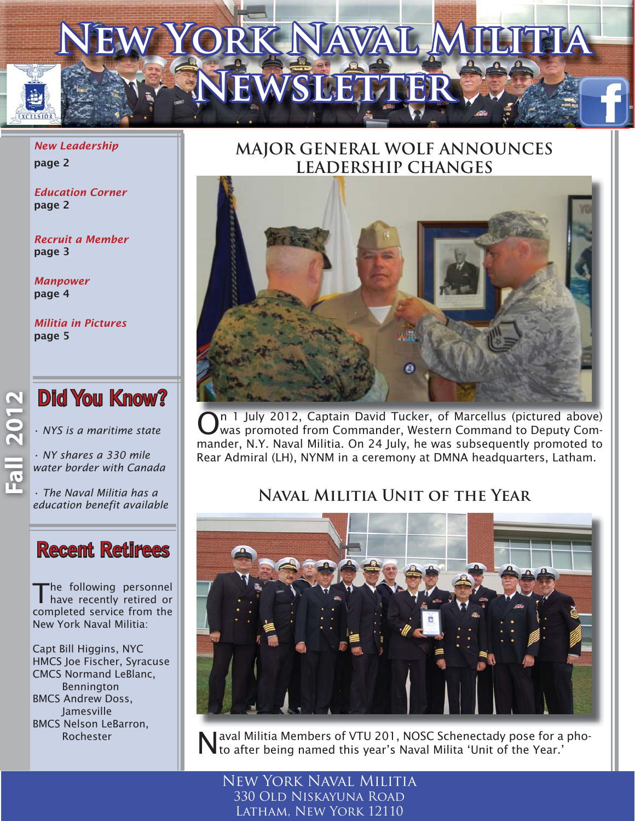# **NEW YORK NAVAL MILITIA EWSLETTER**

*New Leadership* page 2

*Education Corner* page 2

*Recruit a Member* page 3

*Manpower*  page 4

*Militia in Pictures* page 5

**Did You Know?** 

*• NYS is a maritime state*

*• NY shares a 330 mile water border with Canada*

*• The Naval Militia has a [education benefit available](http://dmna.ny.gov/nynm/naval.php?id=education)*

### **Recent Retirees**

The following personnel have recently retired or completed service from the New York Naval Militia:

Capt Bill Higgins, NYC HMCS Joe Fischer, Syracuse CMCS Normand LeBlanc, Bennington BMCS Andrew Doss, Jamesville BMCS Nelson LeBarron, Rochester

### **MAJOR GENERAL WOLF ANNOUNCES LEADERSHIP CHANGES**



n 1 July 2012, Captain David Tucker, of Marcellus (pictured above) was promoted from Commander, Western Command to Deputy Commander, N.Y. Naval Militia. On 24 July, he was subsequently promoted to Rear Admiral (LH), NYNM in a ceremony at DMNA headquarters, Latham.

### **Naval Militia Unit of the Year**



Naval Militia Members of VTU 201, NOSC Schenectady pose for a pho-to after being named this year's Naval Milita 'Unit of the Year.'

New York Naval Militia 330 Old Niskayuna Road Latham, New York 12110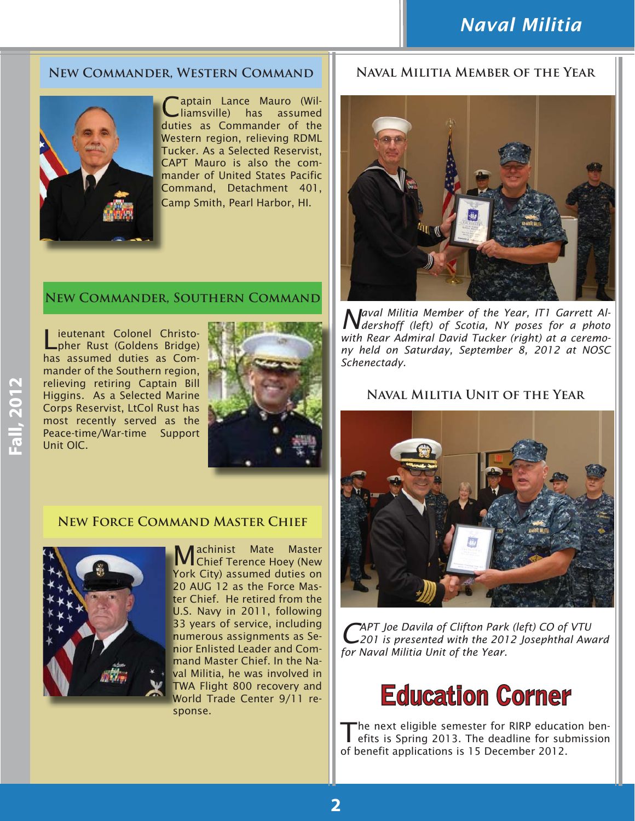#### **[New Commander, Western Command](http://dmna.ny.gov/nynm/naval.php?id=westcom)**



'aptain Lance Mauro (Williamsville) has assumed duties as Commander of the Western region, relieving RDML W Tucker. As a Selected Reservist, T CAPT Mauro is also the com-C mander of United States Pacific m Command, Detachment 401, C Camp Smith, Pearl Harbor, HI. C

#### **[New Commander, Southern Command](http://dmna.ny.gov/nynm/naval.php?id=southcom)**

Lieutenant Colonel Christo-pher Rust (Goldens Bridge) has assumed duties as Commander of the Southern region, relieving retiring Captain Bill Higgins. As a Selected Marine Corps Reservist, LtCol Rust has most recently served as the Peace-time/War-time Support Unit OIC.



#### **New Force Command Master Chief**



Machinist Mate Master Chief Terence Hoey (New York City) assumed duties on Y 20 AUG 12 as the Force Mas-2 ter Chief. He retired from the U.S. Navy in 2011, following 33 years of service, including 3 numerous assignments as Se-n nior Enlisted Leader and Com-n mand Master Chief. In the Na-m val Militia, he was involved in TWA Flight 800 recovery and T World Trade Center 9/11 re-W sponse.

#### **Naval Militia Member of the Year**



*Naval Militia Member of the Year, IT1 Garrett Al-dershoff (left) of Scotia, NY poses for a photo with Rear Admiral David Tucker (right) at a ceremony held on Saturday, September 8, 2012 at NOSC Schenectady.* 

#### **Naval Militia Unit of the Year**



*CAPT Joe Davila of Clifton Park (left) CO of VTU 201 is presented with the 2012 Josephthal Award for Naval Militia Unit of the Year.*

### **Education Corner**

The next eligible semester for RIRP education ben-<br>
efits is Spring 2013. The deadline for submission of benefit applications is 15 December 2012.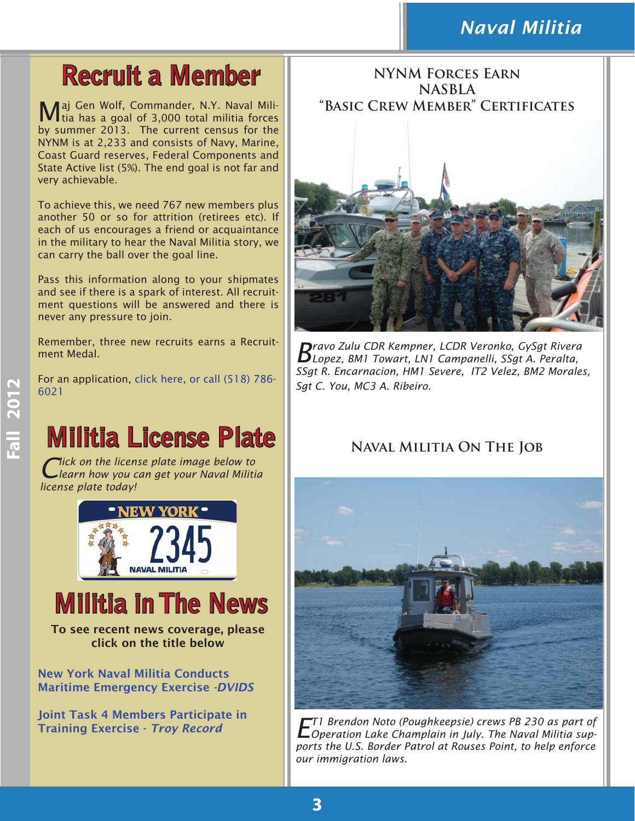### *Naval Militia*

# **Recruit a Member**

Maj Gen Wolf, Commander, N.Y. Naval Militia has a goal of 3,000 total militia forces by summer 2013. The current census for the NYNM is at 2,233 and consists of Navy, Marine, Coast Guard reserves, Federal Components and State Active list (5%). The end goal is not far and very achievable.

To achieve this, we need 767 new members plus another 50 or so for attrition (retirees etc). If each of us encourages a friend or acquaintance in the military to hear the Naval Militia story, we can carry the ball over the goal line.

Pass this information along to your shipmates and see if there is a spark of interest. All recruitment questions will be answered and there is never any pressure to join.

Remember, three new recruits earns a Recruitment Medal.

For an application, [click here,](http://dmna.ny.gov/nynm/naval.php) or call (518) 786- 6021

# **Militia License Plate**

*Click on the license plate image below to learn how you can get your Naval Militia license plate today!* 



## **Militia in The News**

To see recent news coverage, please click on the title below

[New York Naval Militia Conducts](http://www.dvidshub.net/news/94679/new-york-naval-miltia-42nd-infantry-division-and-new-york-guard-conduct-maritime-emergency-exercise)  Maritime Emergency Exercise *-DVIDS*

[Joint Task 4 Members Participate in](http://www.troyrecord.com/articles/2012/09/15/news/doc505425ae5a382577808012.txt?mobredir=false#.UGBWcgZLKqI.facebook) Training Exercise - *Troy Record*

**NYNM Forces Earn NASBLA "Basic Crew Member" Certificates**



*Bravo Zulu CDR Kempner, LCDR Veronko, GySgt Rivera Lopez, BM1 Towart, LN1 Campanelli, SSgt A. Peralta, SSgt R. Encarnacion, HM1 Severe, IT2 Velez, BM2 Morales, Sgt C. You, MC3 A. Ribeiro.*

#### **Naval Militia On The Job**



*ET1 Brendon Noto (Poughkeepsie) crews PB 230 as part of Operation Lake Champlain in July. The Naval Militia supports the U.S. Border Patrol at Rouses Point, to help enforce our immigration laws.*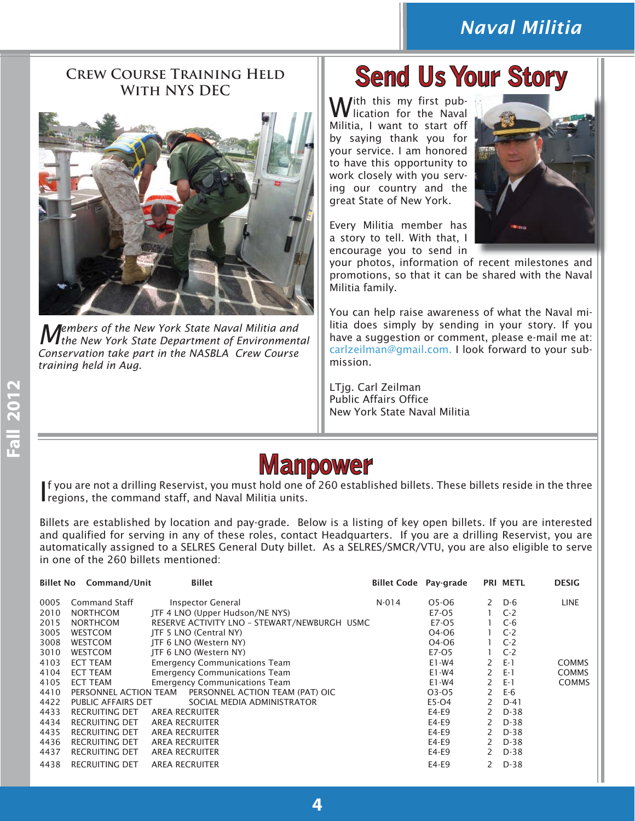### *Naval Militia*

# **Crew Course Training Held**



*Members of the New York State Naval Militia and the New York State Department of Environmental Conservation take part in the NASBLA Crew Course training held in Aug.* 

# **WITH NYS DEC Send Us Your Story**

With this my first pub-<br>Wilication for the Naval Militia, I want to start off by saying thank you for your service. I am honored to have this opportunity to work closely with you serving our country and the great State of New York.

Every Militia member has a story to tell. With that, I encourage you to send in



your photos, information of recent milestones and promotions, so that it can be shared with the Naval Militia family.

You can help raise awareness of what the Naval militia does simply by sending in your story. If you have a suggestion or comment, please e-mail me at: carlzeilman@gmail.com. I look forward to your submission.

LTjg. Carl Zeilman Public Affairs Office New York State Naval Militia

### **Manpower anpower**

If you are not a drilling Reservist, you must hold one of regions, the command staff, and Naval Militia units. f you are not a drilling Reservist, you must hold one of 260 established billets. These billets reside in the three

Billets are established by location and pay-grade. Below is a listing of key open billets. If you are interested and qualified for serving in any of these roles, contact Headquarters. If you are a drilling Reservist, you are automatically assigned to a SELRES General Duty billet. As a SELRES/SMCR/VTU, you are also eligible to serve in one of the 260 billets mentioned:

| <b>Billet No</b> | Command/Unit              | <b>Billet</b>                                | <b>Billet Code</b> Pay-grade |         |               | PRI METL | <b>DESIG</b> |
|------------------|---------------------------|----------------------------------------------|------------------------------|---------|---------------|----------|--------------|
| 0005             | Command Staff             | Inspector General                            | $N-014$                      | 05-06   | $\mathsf{2}$  | D-6      | <b>LINE</b>  |
| 2010             | <b>NORTHCOM</b>           | JTF 4 LNO (Upper Hudson/NE NYS)              |                              | E7-05   |               | $C-2$    |              |
| 2015             | <b>NORTHCOM</b>           | RESERVE ACTIVITY LNO - STEWART/NEWBURGH USMC |                              | E7-05   |               | $C-6$    |              |
| 3005             | <b>WESTCOM</b>            | JTF 5 LNO (Central NY)                       |                              | O4-O6   |               | $C-2$    |              |
| 3008             | <b>WESTCOM</b>            | JTF 6 LNO (Western NY)                       |                              | O4-O6   |               | $C-2$    |              |
| 3010             | <b>WESTCOM</b>            | ITF 6 LNO (Western NY)                       |                              | E7-05   |               | $C-2$    |              |
| 4103             | <b>ECT TEAM</b>           | <b>Emergency Communications Team</b>         |                              | E1-W4   | 2             | $E-1$    | <b>COMMS</b> |
| 4104             | <b>ECT TEAM</b>           | <b>Emergency Communications Team</b>         |                              | E1-W4   | $\mathcal{P}$ | $E-1$    | <b>COMMS</b> |
| 4105             | ECT TEAM                  | <b>Emergency Communications Team</b>         |                              | E1-W4   | 2             | $E-1$    | <b>COMMS</b> |
| 4410             | PERSONNEL ACTION TEAM     | PERSONNEL ACTION TEAM (PAT) OIC              |                              | 03-05   | 2             | E-6      |              |
| 4422             | <b>PUBLIC AFFAIRS DET</b> | SOCIAL MEDIA ADMINISTRATOR                   |                              | E5-O4   | 2             | $D-41$   |              |
| 4433             | <b>RECRUITING DET</b>     | AREA RECRUITER                               |                              | E4-E9   | 2             | $D-38$   |              |
| 4434             | RECRUITING DET            | <b>AREA RECRUITER</b>                        |                              | E4-E9   | $\mathcal{P}$ | $D-38$   |              |
| 4435             | <b>RECRUITING DET</b>     | <b>AREA RECRUITER</b>                        |                              | E4-E9   | 2             | D-38     |              |
| 4436             | <b>RECRUITING DET</b>     | <b>AREA RECRUITER</b>                        |                              | E4-E9   | 2             | D-38     |              |
| 4437             | <b>RECRUITING DET</b>     | <b>AREA RECRUITER</b>                        |                              | $E4-E9$ | $\mathcal{P}$ | $D-38$   |              |
| 4438             | RECRUITING DET            | <b>AREA RECRUITER</b>                        |                              | $E4-E9$ | 2             | $D-38$   |              |